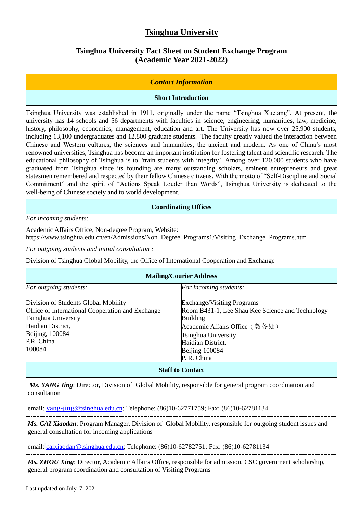# **Tsinghua University**

## **Tsinghua University Fact Sheet on Student Exchange Program (Academic Year 2021-2022)**

### *Contact Information*

### **Short Introduction**

Tsinghua University was established in 1911, originally under the name "Tsinghua Xuetang". At present, the university has 14 schools and 56 departments with faculties in science, engineering, humanities, law, medicine, history, philosophy, economics, management, education and art. The University has now over 25,900 students, including 13,100 undergraduates and 12,800 graduate students. The faculty greatly valued the interaction between Chinese and Western cultures, the sciences and humanities, the ancient and modern. As one of China's most renowned universities, Tsinghua has become an important institution for fostering talent and scientific research. The educational philosophy of Tsinghua is to "train students with integrity." Among over 120,000 students who have graduated from Tsinghua since its founding are many outstanding scholars, eminent entrepreneurs and great statesmen remembered and respected by their fellow Chinese citizens. With the motto of "Self-Discipline and Social Commitment" and the spirit of "Actions Speak Louder than Words", Tsinghua University is dedicated to the well-being of Chinese society and to world development.

#### **Coordinating Offices**

*For incoming students:*

Academic Affairs Office, Non-degree Program, Website: https://www.tsinghua.edu.cn/en/Admissions/Non\_Degree\_Programs1/Visiting\_Exchange\_Programs.htm

*For outgoing students and initial consultation :*

Division of Tsinghua Global Mobility, the Office of International Cooperation and Exchange

| <b>Mailing/Courier Address</b>                   |                                                  |  |  |  |
|--------------------------------------------------|--------------------------------------------------|--|--|--|
| For outgoing students:                           | For incoming students:                           |  |  |  |
| Division of Students Global Mobility             | <b>Exchange/Visiting Programs</b>                |  |  |  |
| Office of International Cooperation and Exchange | Room B431-1, Lee Shau Kee Science and Technology |  |  |  |
| Tsinghua University                              | <b>Building</b>                                  |  |  |  |
| Haidian District,                                | Academic Affairs Office (教务处)                    |  |  |  |
| Beijing, 100084                                  | Tsinghua University                              |  |  |  |
| P.R. China                                       | Haidian District,                                |  |  |  |
| 100084                                           | Beijing 100084                                   |  |  |  |
|                                                  | P. R. China                                      |  |  |  |
|                                                  | $\alpha$ $\alpha$ $\alpha$ $\beta$               |  |  |  |

#### **Staff to Contact**

*Ms. YANG Jing*: Director, Division of Global Mobility, responsible for general program coordination and consultation

email: yang-jing[@tsinghua.edu.cn;](mailto:yang-jing@tsinghua.edu.cn) Telephone: (86)10-62771759; Fax: (86)10-62781134

*Ms. CAI Xiaodan*: Program Manager, Division of Global Mobility, responsible for outgoing student issues and general consultation for incoming applications

email: caixiaodan@tsinghua.edu.cn; Telephone: (86)10-62782751; Fax: (86)10-62781134

*Ms. ZHOU Xing*: Director, Academic Affairs Office, responsible for admission, CSC government scholarship, general program coordination and consultation of Visiting Programs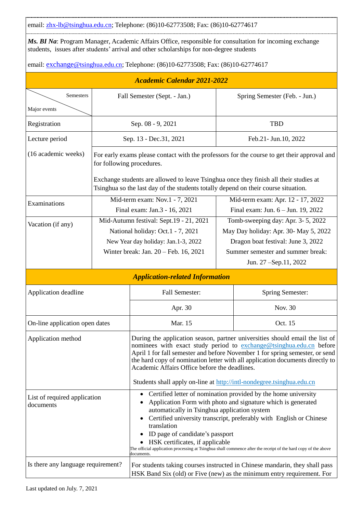email[: zhx-lb@tsinghua.edu.cn;](mailto:zhx-lb@tsinghua.edu.cn) Telephone: (86)10-62773508; Fax: (86)10-62774617

*Ms. BI Na*: Program Manager, Academic Affairs Office, responsible for consultation for incoming exchange students, issues after students' arrival and other scholarships for non-degree students

email: **exchange@tsinghua.edu.cn**; Telephone: (86)10-62773508; Fax: (86)10-62774617

| <b>Academic Calendar 2021-2022</b>                          |                                                                                                                                                                             |                                                                                                                                                                                                                                                                                                                                                                                                                                                                            |                                                                                                                                                                                  |                                                                                                                                                       |
|-------------------------------------------------------------|-----------------------------------------------------------------------------------------------------------------------------------------------------------------------------|----------------------------------------------------------------------------------------------------------------------------------------------------------------------------------------------------------------------------------------------------------------------------------------------------------------------------------------------------------------------------------------------------------------------------------------------------------------------------|----------------------------------------------------------------------------------------------------------------------------------------------------------------------------------|-------------------------------------------------------------------------------------------------------------------------------------------------------|
| Semesters                                                   | Fall Semester (Sept. - Jan.)                                                                                                                                                |                                                                                                                                                                                                                                                                                                                                                                                                                                                                            | Spring Semester (Feb. - Jun.)                                                                                                                                                    |                                                                                                                                                       |
| Major events                                                |                                                                                                                                                                             |                                                                                                                                                                                                                                                                                                                                                                                                                                                                            |                                                                                                                                                                                  |                                                                                                                                                       |
| Registration                                                | Sep. 08 - 9, 2021                                                                                                                                                           |                                                                                                                                                                                                                                                                                                                                                                                                                                                                            |                                                                                                                                                                                  | <b>TBD</b>                                                                                                                                            |
| Lecture period                                              | Sep. 13 - Dec. 31, 2021                                                                                                                                                     |                                                                                                                                                                                                                                                                                                                                                                                                                                                                            |                                                                                                                                                                                  | Feb.21- Jun.10, 2022                                                                                                                                  |
| (16 academic weeks)                                         | For early exams please contact with the professors for the course to get their approval and<br>for following procedures.                                                    |                                                                                                                                                                                                                                                                                                                                                                                                                                                                            |                                                                                                                                                                                  |                                                                                                                                                       |
|                                                             | Exchange students are allowed to leave Tsinghua once they finish all their studies at<br>Tsinghua so the last day of the students totally depend on their course situation. |                                                                                                                                                                                                                                                                                                                                                                                                                                                                            |                                                                                                                                                                                  |                                                                                                                                                       |
| Examinations                                                | Mid-term exam: Nov.1 - 7, 2021<br>Final exam: Jan.3 - 16, 2021                                                                                                              |                                                                                                                                                                                                                                                                                                                                                                                                                                                                            | Mid-term exam: Apr. 12 - 17, 2022<br>Final exam: Jun. 6 - Jun. 19, 2022                                                                                                          |                                                                                                                                                       |
| Vacation (if any)                                           | Mid-Autumn festival: Sept.19 - 21, 2021<br>National holiday: Oct.1 - 7, 2021<br>New Year day holiday: Jan.1-3, 2022<br>Winter break: Jan. 20 - Feb. 16, 2021                |                                                                                                                                                                                                                                                                                                                                                                                                                                                                            | Tomb-sweeping day: Apr. 3-5, 2022<br>May Day holiday: Apr. 30- May 5, 2022<br>Dragon boat festival: June 3, 2022<br>Summer semester and summer break:<br>Jun. 27 – Sep. 11, 2022 |                                                                                                                                                       |
|                                                             |                                                                                                                                                                             | <b>Application-related Information</b>                                                                                                                                                                                                                                                                                                                                                                                                                                     |                                                                                                                                                                                  |                                                                                                                                                       |
| Application deadline                                        |                                                                                                                                                                             | Fall Semester:                                                                                                                                                                                                                                                                                                                                                                                                                                                             |                                                                                                                                                                                  | <b>Spring Semester:</b>                                                                                                                               |
|                                                             |                                                                                                                                                                             | Apr. 30                                                                                                                                                                                                                                                                                                                                                                                                                                                                    |                                                                                                                                                                                  | Nov. 30                                                                                                                                               |
| On-line application open dates                              |                                                                                                                                                                             | Mar. 15                                                                                                                                                                                                                                                                                                                                                                                                                                                                    |                                                                                                                                                                                  | Oct. 15                                                                                                                                               |
| Application method                                          |                                                                                                                                                                             | During the application season, partner universities should email the list of<br>nominees with exact study period to exchange@tsinghua.edu.cn before<br>April 1 for fall semester and before November 1 for spring semester, or send<br>the hard copy of nomination letter with all application documents directly to<br>Academic Affairs Office before the deadlines.<br>Students shall apply on-line at http://intl-nondegree.tsinghua.edu.cn                             |                                                                                                                                                                                  |                                                                                                                                                       |
| $\bullet$<br>List of required application<br>documents<br>٠ |                                                                                                                                                                             | Certified letter of nomination provided by the home university<br>Application Form with photo and signature which is generated<br>automatically in Tsinghua application system<br>Certified university transcript, preferably with English or Chinese<br>translation<br>ID page of candidate's passport<br>HSK certificates, if applicable<br>The official application processing at Tsinghua shall commence after the receipt of the hard copy of the above<br>documents. |                                                                                                                                                                                  |                                                                                                                                                       |
| Is there any language requirement?                          |                                                                                                                                                                             |                                                                                                                                                                                                                                                                                                                                                                                                                                                                            |                                                                                                                                                                                  | For students taking courses instructed in Chinese mandarin, they shall pass<br>HSK Band Six (old) or Five (new) as the minimum entry requirement. For |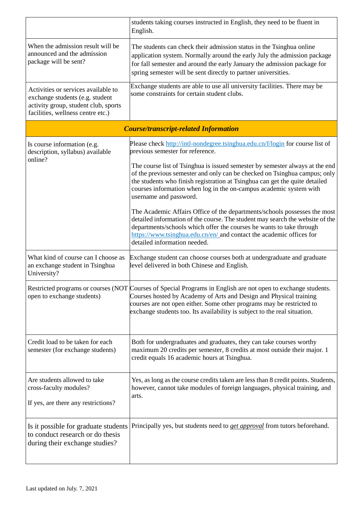|                                                                                                                                                     | students taking courses instructed in English, they need to be fluent in<br>English.                                                                                                                                                                                                                                                       |  |  |  |
|-----------------------------------------------------------------------------------------------------------------------------------------------------|--------------------------------------------------------------------------------------------------------------------------------------------------------------------------------------------------------------------------------------------------------------------------------------------------------------------------------------------|--|--|--|
| When the admission result will be<br>announced and the admission<br>package will be sent?                                                           | The students can check their admission status in the Tsinghua online<br>application system. Normally around the early July the admission package<br>for fall semester and around the early January the admission package for<br>spring semester will be sent directly to partner universities.                                             |  |  |  |
| Activities or services available to<br>exchange students (e.g. student<br>activity group, student club, sports<br>facilities, wellness centre etc.) | Exchange students are able to use all university facilities. There may be<br>some constraints for certain student clubs.                                                                                                                                                                                                                   |  |  |  |
| <b>Course/transcript-related Information</b>                                                                                                        |                                                                                                                                                                                                                                                                                                                                            |  |  |  |
| Is course information (e.g.<br>description, syllabus) available                                                                                     | Please check http://intl-nondegree.tsinghua.edu.cn/f/login for course list of<br>previous semester for reference.                                                                                                                                                                                                                          |  |  |  |
| online?                                                                                                                                             | The course list of Tsinghua is issued semester by semester always at the end<br>of the previous semester and only can be checked on Tsinghua campus; only<br>the students who finish registration at Tsinghua can get the quite detailed<br>courses information when log in the on-campus academic system with<br>username and password.   |  |  |  |
|                                                                                                                                                     | The Academic Affairs Office of the departments/schools possesses the most<br>detailed information of the course. The student may search the website of the<br>departments/schools which offer the courses he wants to take through<br>https://www.tsinghua.edu.cn/en/ and contact the academic offices for<br>detailed information needed. |  |  |  |
| What kind of course can I choose as<br>an exchange student in Tsinghua<br>University?                                                               | Exchange student can choose courses both at undergraduate and graduate<br>level delivered in both Chinese and English.                                                                                                                                                                                                                     |  |  |  |
| open to exchange students)                                                                                                                          | Restricted programs or courses (NOT Courses of Special Programs in English are not open to exchange students.<br>Courses hosted by Academy of Arts and Design and Physical training<br>courses are not open either. Some other programs may be restricted to<br>exchange students too. Its availability is subject to the real situation.  |  |  |  |
| Credit load to be taken for each<br>semester (for exchange students)                                                                                | Both for undergraduates and graduates, they can take courses worthy<br>maximum 20 credits per semester, 8 credits at most outside their major. 1<br>credit equals 16 academic hours at Tsinghua.                                                                                                                                           |  |  |  |
| Are students allowed to take<br>cross-faculty modules?<br>If yes, are there any restrictions?                                                       | Yes, as long as the course credits taken are less than 8 credit points. Students,<br>however, cannot take modules of foreign languages, physical training, and<br>arts.                                                                                                                                                                    |  |  |  |
| Is it possible for graduate students<br>to conduct research or do thesis<br>during their exchange studies?                                          | Principally yes, but students need to <i>get approval</i> from tutors beforehand.                                                                                                                                                                                                                                                          |  |  |  |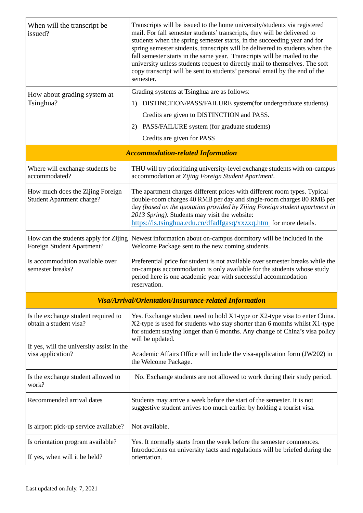| When will the transcript be<br>issued?                                                                     | Transcripts will be issued to the home university/students via registered<br>mail. For fall semester students' transcripts, they will be delivered to<br>students when the spring semester starts, in the succeeding year and for<br>spring semester students, transcripts will be delivered to students when the<br>fall semester starts in the same year. Transcripts will be mailed to the<br>university unless students request to directly mail to themselves. The soft<br>copy transcript will be sent to students' personal email by the end of the<br>semester. |  |  |  |
|------------------------------------------------------------------------------------------------------------|-------------------------------------------------------------------------------------------------------------------------------------------------------------------------------------------------------------------------------------------------------------------------------------------------------------------------------------------------------------------------------------------------------------------------------------------------------------------------------------------------------------------------------------------------------------------------|--|--|--|
| How about grading system at                                                                                | Grading systems at Tsinghua are as follows:                                                                                                                                                                                                                                                                                                                                                                                                                                                                                                                             |  |  |  |
| Tsinghua?                                                                                                  | DISTINCTION/PASS/FAILURE system(for undergraduate students)<br>1)                                                                                                                                                                                                                                                                                                                                                                                                                                                                                                       |  |  |  |
|                                                                                                            | Credits are given to DISTINCTION and PASS.                                                                                                                                                                                                                                                                                                                                                                                                                                                                                                                              |  |  |  |
|                                                                                                            | 2)<br>PASS/FAILURE system (for graduate students)                                                                                                                                                                                                                                                                                                                                                                                                                                                                                                                       |  |  |  |
|                                                                                                            | Credits are given for PASS                                                                                                                                                                                                                                                                                                                                                                                                                                                                                                                                              |  |  |  |
|                                                                                                            | <b>Accommodation-related Information</b>                                                                                                                                                                                                                                                                                                                                                                                                                                                                                                                                |  |  |  |
| Where will exchange students be<br>accommodated?                                                           | THU will try prioritizing university-level exchange students with on-campus<br>accommodation at Zijing Foreign Student Apartment.                                                                                                                                                                                                                                                                                                                                                                                                                                       |  |  |  |
| How much does the Zijing Foreign<br><b>Student Apartment charge?</b>                                       | The apartment charges different prices with different room types. Typical<br>double-room charges 40 RMB per day and single-room charges 80 RMB per<br>day (based on the quotation provided by Zijing Foreign student apartment in<br>2013 Spring). Students may visit the website:<br>https://is.tsinghua.edu.cn/dfadfgasq/xxzxq.htm_for more details.                                                                                                                                                                                                                  |  |  |  |
| How can the students apply for Zijing<br>Foreign Student Apartment?                                        | Newest information about on-campus dormitory will be included in the<br>Welcome Package sent to the new coming students.                                                                                                                                                                                                                                                                                                                                                                                                                                                |  |  |  |
| Is accommodation available over<br>semester breaks?                                                        | Preferential price for student is not available over semester breaks while the<br>on-campus accommodation is only available for the students whose study<br>period here is one academic year with successful accommodation<br>reservation.                                                                                                                                                                                                                                                                                                                              |  |  |  |
| Visa/Arrival/Orientation/Insurance-related Information                                                     |                                                                                                                                                                                                                                                                                                                                                                                                                                                                                                                                                                         |  |  |  |
| Is the exchange student required to<br>obtain a student visa?<br>If yes, will the university assist in the | Yes. Exchange student need to hold X1-type or X2-type visa to enter China.<br>X2-type is used for students who stay shorter than 6 months whilst X1-type<br>for student staying longer than 6 months. Any change of China's visa policy<br>will be updated.                                                                                                                                                                                                                                                                                                             |  |  |  |
| visa application?                                                                                          | Academic Affairs Office will include the visa-application form (JW202) in<br>the Welcome Package.                                                                                                                                                                                                                                                                                                                                                                                                                                                                       |  |  |  |
| Is the exchange student allowed to<br>work?                                                                | No. Exchange students are not allowed to work during their study period.                                                                                                                                                                                                                                                                                                                                                                                                                                                                                                |  |  |  |
| Recommended arrival dates                                                                                  | Students may arrive a week before the start of the semester. It is not<br>suggestive student arrives too much earlier by holding a tourist visa.                                                                                                                                                                                                                                                                                                                                                                                                                        |  |  |  |
| Is airport pick-up service available?                                                                      | Not available.                                                                                                                                                                                                                                                                                                                                                                                                                                                                                                                                                          |  |  |  |
| Is orientation program available?<br>If yes, when will it be held?                                         | Yes. It normally starts from the week before the semester commences.<br>Introductions on university facts and regulations will be briefed during the<br>orientation.                                                                                                                                                                                                                                                                                                                                                                                                    |  |  |  |